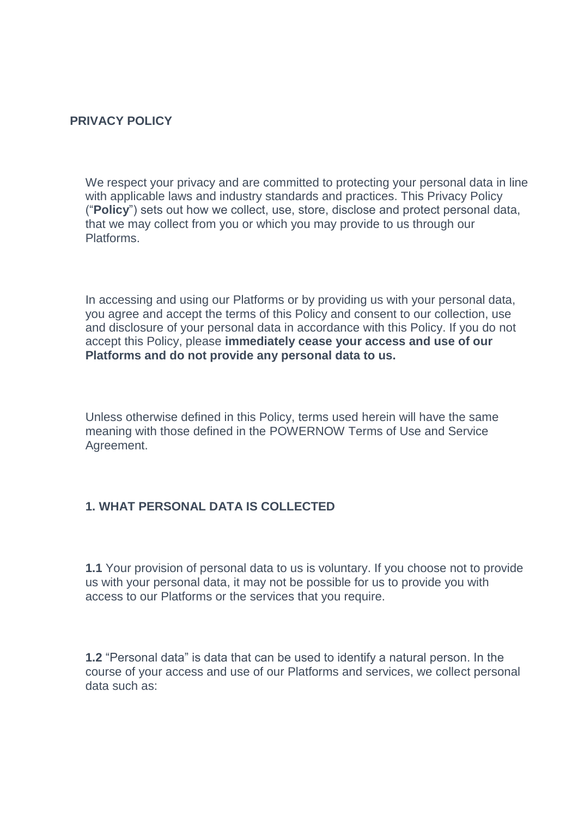#### **PRIVACY POLICY**

We respect your privacy and are committed to protecting your personal data in line with applicable laws and industry standards and practices. This Privacy Policy ("**Policy**") sets out how we collect, use, store, disclose and protect personal data, that we may collect from you or which you may provide to us through our Platforms.

In accessing and using our Platforms or by providing us with your personal data, you agree and accept the terms of this Policy and consent to our collection, use and disclosure of your personal data in accordance with this Policy. If you do not accept this Policy, please **immediately cease your access and use of our Platforms and do not provide any personal data to us.**

Unless otherwise defined in this Policy, terms used herein will have the same meaning with those defined in the POWERNOW Terms of Use and Service Agreement.

# **1. WHAT PERSONAL DATA IS COLLECTED**

**1.1** Your provision of personal data to us is voluntary. If you choose not to provide us with your personal data, it may not be possible for us to provide you with access to our Platforms or the services that you require.

**1.2** "Personal data" is data that can be used to identify a natural person. In the course of your access and use of our Platforms and services, we collect personal data such as: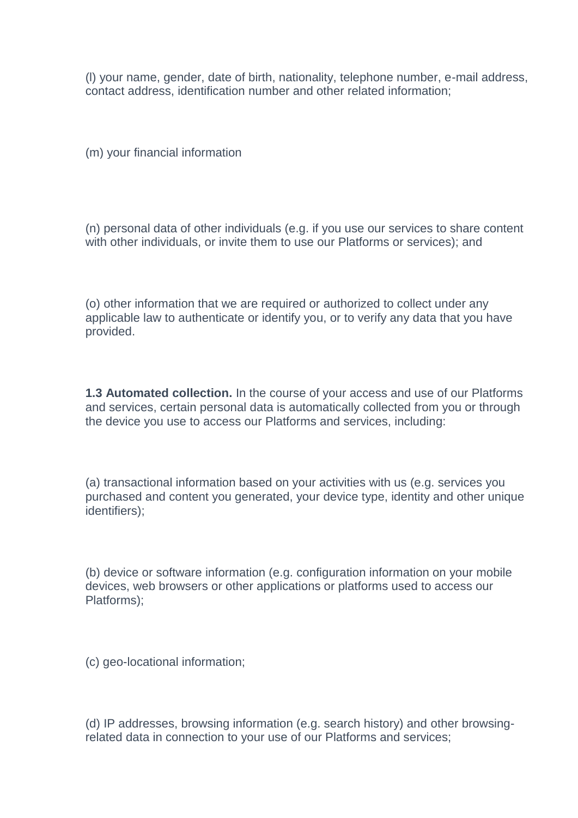(l) your name, gender, date of birth, nationality, telephone number, e-mail address, contact address, identification number and other related information;

 $(m)$  your financial information

(n) personal data of other individuals (e.g. if you use our services to share content with other individuals, or invite them to use our Platforms or services); and

(o) other information that we are required or authorized to collect under any applicable law to authenticate or identify you, or to verify any data that you have provided.

**1.3 Automated collection.** In the course of your access and use of our Platforms and services, certain personal data is automatically collected from you or through the device you use to access our Platforms and services, including:

(a) transactional information based on your activities with us (e.g. services you purchased and content you generated, your device type, identity and other unique identifiers);

(b) device or software information (e.g. configuration information on your mobile devices, web browsers or other applications or platforms used to access our Platforms);

(c) geo-locational information;

(d) IP addresses, browsing information (e.g. search history) and other browsingrelated data in connection to your use of our Platforms and services;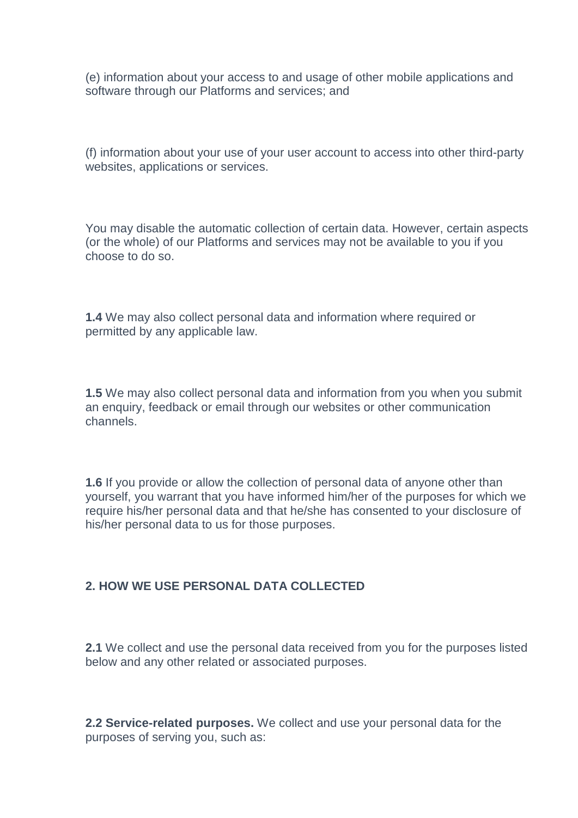(e) information about your access to and usage of other mobile applications and software through our Platforms and services; and

(f) information about your use of your user account to access into other third-party websites, applications or services.

You may disable the automatic collection of certain data. However, certain aspects (or the whole) of our Platforms and services may not be available to you if you choose to do so.

**1.4** We may also collect personal data and information where required or permitted by any applicable law.

**1.5** We may also collect personal data and information from you when you submit an enquiry, feedback or email through our websites or other communication channels.

**1.6** If you provide or allow the collection of personal data of anyone other than yourself, you warrant that you have informed him/her of the purposes for which we require his/her personal data and that he/she has consented to your disclosure of his/her personal data to us for those purposes.

#### **2. HOW WE USE PERSONAL DATA COLLECTED**

**2.1** We collect and use the personal data received from you for the purposes listed below and any other related or associated purposes.

**2.2 Service-related purposes.** We collect and use your personal data for the purposes of serving you, such as: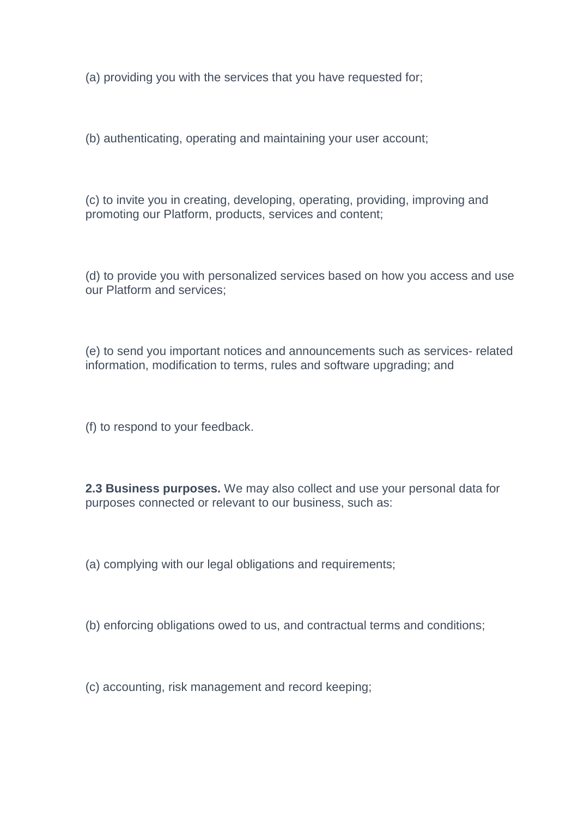(a) providing you with the services that you have requested for;

(b) authenticating, operating and maintaining your user account;

(c) to invite you in creating, developing, operating, providing, improving and promoting our Platform, products, services and content;

(d) to provide you with personalized services based on how you access and use our Platform and services;

(e) to send you important notices and announcements such as services- related information, modification to terms, rules and software upgrading; and

(f) to respond to your feedback.

**2.3 Business purposes.** We may also collect and use your personal data for purposes connected or relevant to our business, such as:

(a) complying with our legal obligations and requirements;

(b) enforcing obligations owed to us, and contractual terms and conditions;

(c) accounting, risk management and record keeping;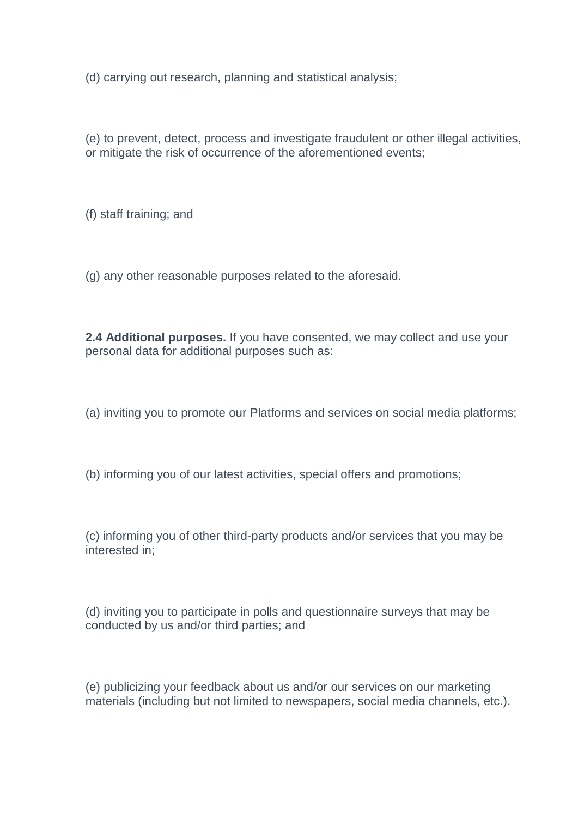(d) carrying out research, planning and statistical analysis;

(e) to prevent, detect, process and investigate fraudulent or other illegal activities, or mitigate the risk of occurrence of the aforementioned events;

(f) staff training; and

(g) any other reasonable purposes related to the aforesaid.

**2.4 Additional purposes.** If you have consented, we may collect and use your personal data for additional purposes such as:

(a) inviting you to promote our Platforms and services on social media platforms;

(b) informing you of our latest activities, special offers and promotions;

(c) informing you of other third-party products and/or services that you may be interested in;

(d) inviting you to participate in polls and questionnaire surveys that may be conducted by us and/or third parties; and

(e) publicizing your feedback about us and/or our services on our marketing materials (including but not limited to newspapers, social media channels, etc.).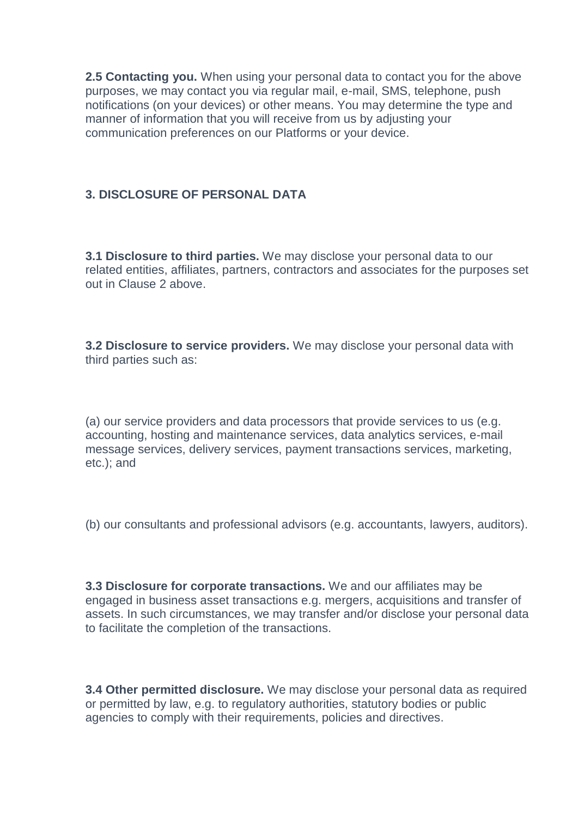**2.5 Contacting you.** When using your personal data to contact you for the above purposes, we may contact you via regular mail, e-mail, SMS, telephone, push notifications (on your devices) or other means. You may determine the type and manner of information that you will receive from us by adjusting your communication preferences on our Platforms or your device.

### **3. DISCLOSURE OF PERSONAL DATA**

**3.1 Disclosure to third parties.** We may disclose your personal data to our related entities, affiliates, partners, contractors and associates for the purposes set out in Clause 2 above.

**3.2 Disclosure to service providers.** We may disclose your personal data with third parties such as:

(a) our service providers and data processors that provide services to us (e.g. accounting, hosting and maintenance services, data analytics services, e-mail message services, delivery services, payment transactions services, marketing, etc.); and

(b) our consultants and professional advisors (e.g. accountants, lawyers, auditors).

**3.3 Disclosure for corporate transactions.** We and our affiliates may be engaged in business asset transactions e.g. mergers, acquisitions and transfer of assets. In such circumstances, we may transfer and/or disclose your personal data to facilitate the completion of the transactions.

**3.4 Other permitted disclosure.** We may disclose your personal data as required or permitted by law, e.g. to regulatory authorities, statutory bodies or public agencies to comply with their requirements, policies and directives.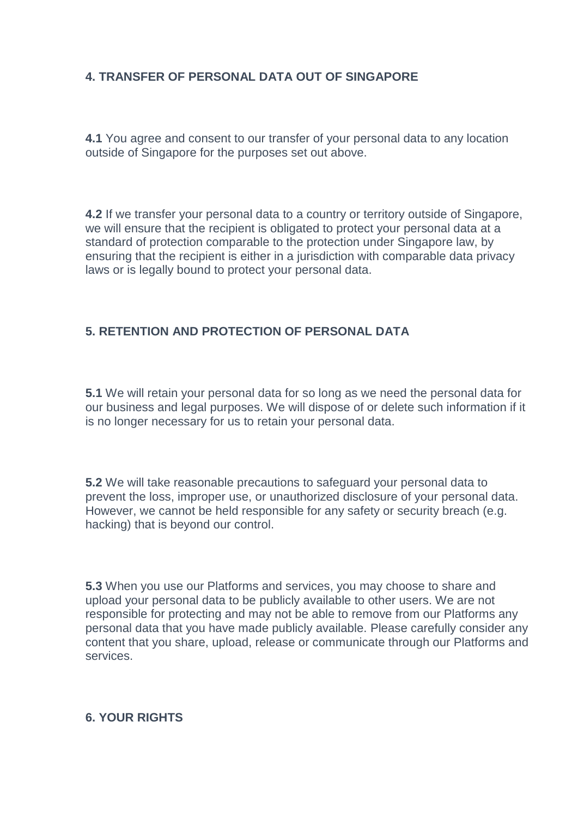## **4. TRANSFER OF PERSONAL DATA OUT OF SINGAPORE**

**4.1** You agree and consent to our transfer of your personal data to any location outside of Singapore for the purposes set out above.

**4.2** If we transfer your personal data to a country or territory outside of Singapore, we will ensure that the recipient is obligated to protect your personal data at a standard of protection comparable to the protection under Singapore law, by ensuring that the recipient is either in a jurisdiction with comparable data privacy laws or is legally bound to protect your personal data.

### **5. RETENTION AND PROTECTION OF PERSONAL DATA**

**5.1** We will retain your personal data for so long as we need the personal data for our business and legal purposes. We will dispose of or delete such information if it is no longer necessary for us to retain your personal data.

**5.2** We will take reasonable precautions to safeguard your personal data to prevent the loss, improper use, or unauthorized disclosure of your personal data. However, we cannot be held responsible for any safety or security breach (e.g. hacking) that is beyond our control.

**5.3** When you use our Platforms and services, you may choose to share and upload your personal data to be publicly available to other users. We are not responsible for protecting and may not be able to remove from our Platforms any personal data that you have made publicly available. Please carefully consider any content that you share, upload, release or communicate through our Platforms and services.

#### **6. YOUR RIGHTS**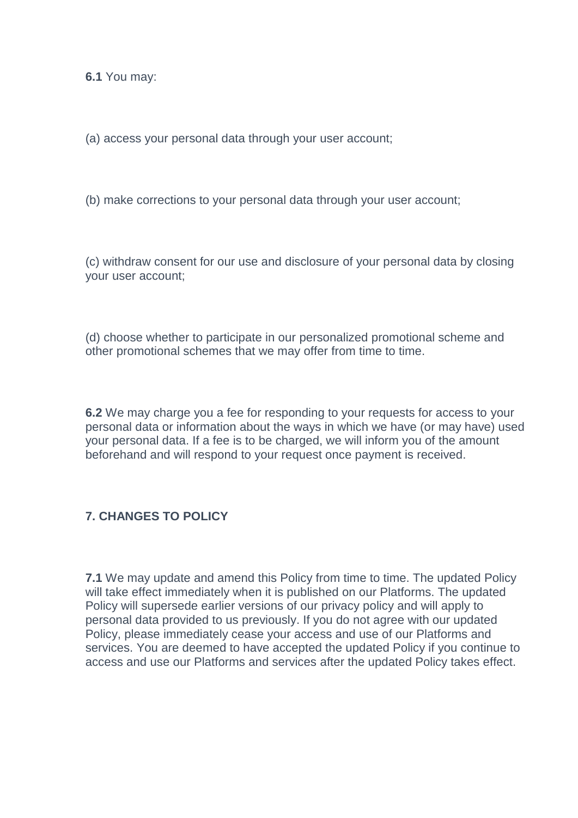**6.1** You may:

(a) access your personal data through your user account;

(b) make corrections to your personal data through your user account;

(c) withdraw consent for our use and disclosure of your personal data by closing your user account;

(d) choose whether to participate in our personalized promotional scheme and other promotional schemes that we may offer from time to time.

**6.2** We may charge you a fee for responding to your requests for access to your personal data or information about the ways in which we have (or may have) used your personal data. If a fee is to be charged, we will inform you of the amount beforehand and will respond to your request once payment is received.

## **7. CHANGES TO POLICY**

**7.1** We may update and amend this Policy from time to time. The updated Policy will take effect immediately when it is published on our Platforms. The updated Policy will supersede earlier versions of our privacy policy and will apply to personal data provided to us previously. If you do not agree with our updated Policy, please immediately cease your access and use of our Platforms and services. You are deemed to have accepted the updated Policy if you continue to access and use our Platforms and services after the updated Policy takes effect.